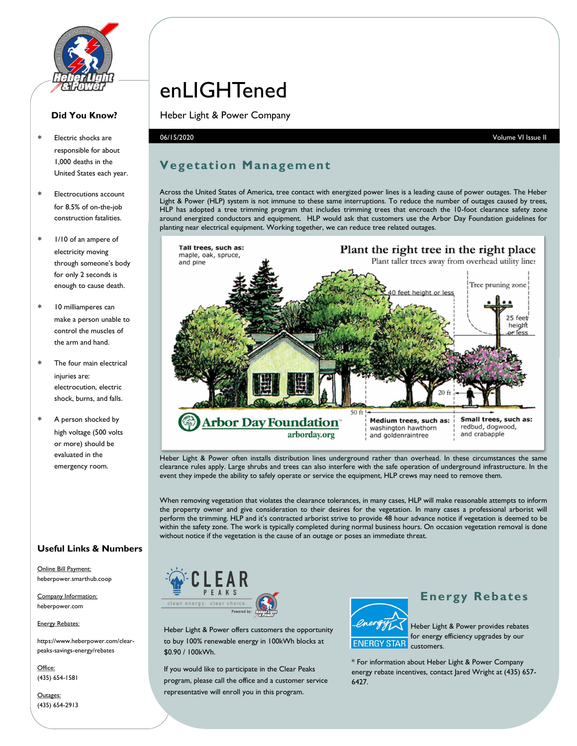

#### **Did You Know?**

- Electric shocks are responsible for about 1,000 deaths in the United States each year.
- Electrocutions account for 8.5% of on-the-job construction fatalities.
- 1/10 of an ampere of electricity moving through someone's body for only 2 seconds is enough to cause death.
- 10 milliamperes can make a person unable to control the muscles of the arm and hand.
- The four main electrical iniuries are: electrocution, electric shock, burns, and falls.
- A person shocked by high voltage (500 volts or more) should be evaluated in the emergency room.

#### **Useful Links & Numbers**

Online Bill Payment: heberpower.smarthub.coop

Company Information: heberpower.com

#### Energy Rebates:

https://www.heberpower.com/clearpeaks-savings-energy/rebates

Office: (435) 654-1581

Outages: (435) 654-2913

# enLIGHTened

Heber Light & Power Company

### **Vegetation Management**

Across the United States of America, tree contact with energized power lines is a leading cause of power outages. The Heber Light & Power (HLP) system is not immune to these same interruptions. To reduce the number of outages caused by trees, HLP has adopted a tree trimming program that includes trimming trees that encroach the 10-foot clearance safety zone around energized conductors and equipment. HLP would ask that customers use the Arbor Day Foundation guidelines for planting near electrical equipment. Working together, we can reduce tree related outages.



Heber Light & Power often installs distribution lines underground rather than overhead. In these circumstances the same clearance rules apply. Large shrubs and trees can also interfere with the safe operation of underground infrastructure. In the event they impede the ability to safely operate or service the equipment, HLP crews may need to remove them.

When removing vegetation that violates the clearance tolerances, in many cases, HLP will make reasonable attempts to inform the property owner and give consideration to their desires for the vegetation. In many cases a professional arborist will perform the trimming. HLP and it's contracted arborist strive to provide 48 hour advance notice if vegetation is deemed to be within the safety zone. The work is typically completed during normal business hours. On occasion vegetation removal is done without notice if the vegetation is the cause of an outage or poses an immediate threat.



Heber Light & Power offers customers the opportunity to buy 100% renewable energy in 100kWh blocks at \$0.90 / 100kWh.

If you would like to participate in the Clear Peaks program, please call the office and a customer service representative will enroll you in this program.



#### **Energy Rebates**

Heber Light & Power provides rebates for energy efficiency upgrades by our **ENERGY STAR** customers.

\* For information about Heber Light & Power Company energy rebate incentives, contact Jared Wright at (435) 657- 6427.